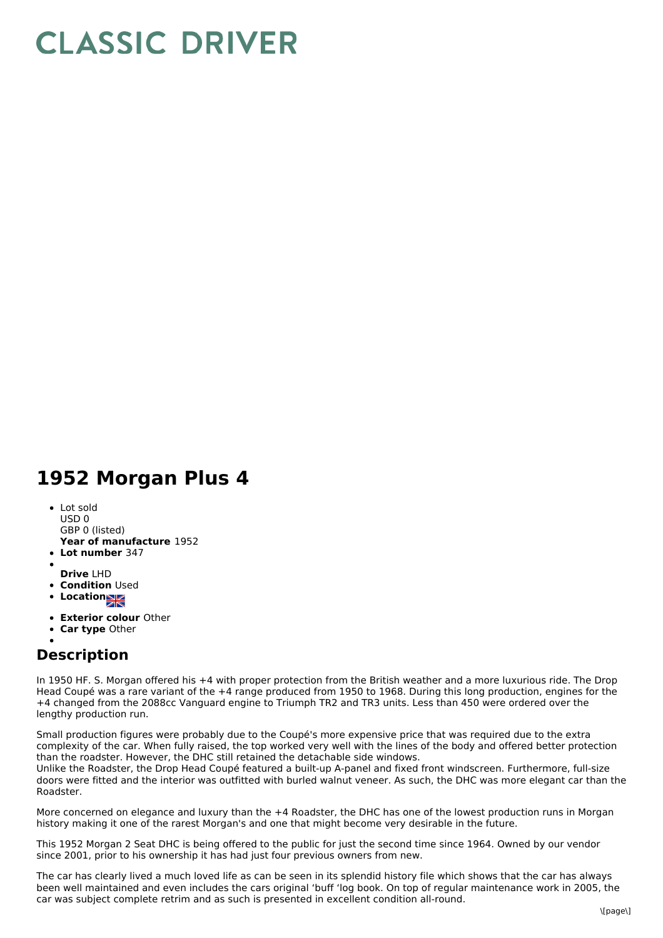## **CLASSIC DRIVER**

## **1952 Morgan Plus 4**

- **Year of manufacture** 1952 Lot sold USD 0 GBP 0 (listed)
- **Lot number** 347
- **Drive** LHD
- **Condition Used**
- Location<sub>NK</sub>
- **Exterior colour** Other
- **Car type** Other

## **Description**

In 1950 HF. S. Morgan offered his +4 with proper protection from the British weather and a more luxurious ride. The Drop Head Coupé was a rare variant of the +4 range produced from 1950 to 1968. During this long production, engines for the +4 changed from the 2088cc Vanguard engine to Triumph TR2 and TR3 units. Less than 450 were ordered over the lengthy production run.

Small production figures were probably due to the Coupé's more expensive price that was required due to the extra complexity of the car. When fully raised, the top worked very well with the lines of the body and offered better protection than the roadster. However, the DHC still retained the detachable side windows.

Unlike the Roadster, the Drop Head Coupé featured a built-up A-panel and fixed front windscreen. Furthermore, full-size doors were fitted and the interior was outfitted with burled walnut veneer. As such, the DHC was more elegant car than the Roadster.

More concerned on elegance and luxury than the +4 Roadster, the DHC has one of the lowest production runs in Morgan history making it one of the rarest Morgan's and one that might become very desirable in the future.

This 1952 Morgan 2 Seat DHC is being offered to the public for just the second time since 1964. Owned by our vendor since 2001, prior to his ownership it has had just four previous owners from new.

The car has clearly lived a much loved life as can be seen in its splendid history file which shows that the car has always been well maintained and even includes the cars original 'buff 'log book. On top of regular maintenance work in 2005, the car was subject complete retrim and as such is presented in excellent condition all-round.